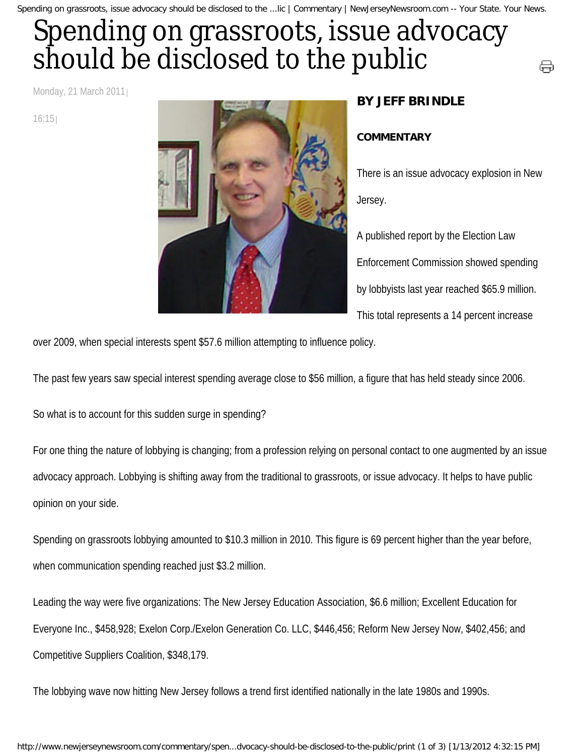Spending on grassroots, issue advocacy should be disclosed to the ...lic | Commentary | NewJerseyNewsroom.com -- Your State. Your News.

## Spending on grassroots, issue advocacy should be disclosed to the public

Monday, 21 March 2011

16:15



## **BY JEFF BRINDLE**

## **COMMENTARY**

There is an issue advocacy explosion in New Jersey.

⊜

A published report by the Election Law Enforcement Commission showed spending by lobbyists last year reached \$65.9 million. This total represents a 14 percent increase

over 2009, when special interests spent \$57.6 million attempting to influence policy.

The past few years saw special interest spending average close to \$56 million, a figure that has held steady since 2006.

So what is to account for this sudden surge in spending?

For one thing the nature of lobbying is changing; from a profession relying on personal contact to one augmented by an issue advocacy approach. Lobbying is shifting away from the traditional to grassroots, or issue advocacy. It helps to have public opinion on your side.

Spending on grassroots lobbying amounted to \$10.3 million in 2010. This figure is 69 percent higher than the year before, when communication spending reached just \$3.2 million.

Leading the way were five organizations: The New Jersey Education Association, \$6.6 million; Excellent Education for Everyone Inc., \$458,928; Exelon Corp./Exelon Generation Co. LLC, \$446,456; Reform New Jersey Now, \$402,456; and Competitive Suppliers Coalition, \$348,179.

The lobbying wave now hitting New Jersey follows a trend first identified nationally in the late 1980s and 1990s.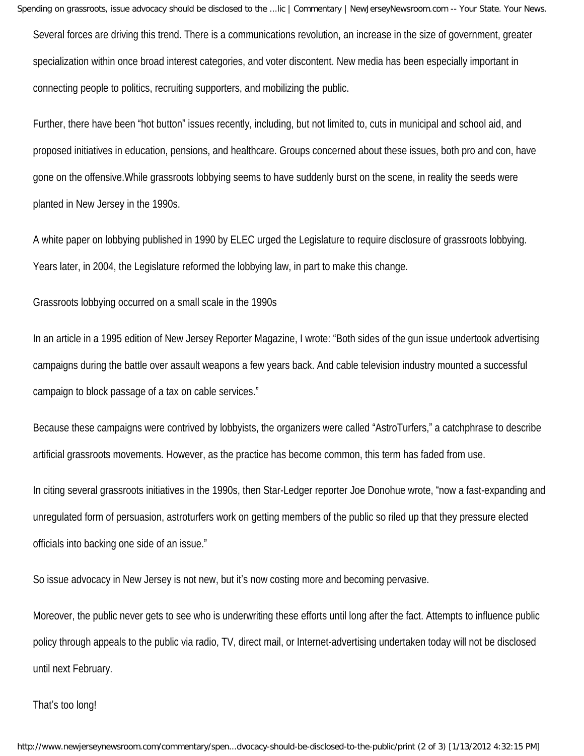Spending on grassroots, issue advocacy should be disclosed to the ...lic | Commentary | NewJerseyNewsroom.com -- Your State. Your News.

Several forces are driving this trend. There is a communications revolution, an increase in the size of government, greater specialization within once broad interest categories, and voter discontent. New media has been especially important in connecting people to politics, recruiting supporters, and mobilizing the public.

Further, there have been "hot button" issues recently, including, but not limited to, cuts in municipal and school aid, and proposed initiatives in education, pensions, and healthcare. Groups concerned about these issues, both pro and con, have gone on the offensive.While grassroots lobbying seems to have suddenly burst on the scene, in reality the seeds were planted in New Jersey in the 1990s.

A white paper on lobbying published in 1990 by ELEC urged the Legislature to require disclosure of grassroots lobbying. Years later, in 2004, the Legislature reformed the lobbying law, in part to make this change.

Grassroots lobbying occurred on a small scale in the 1990s

In an article in a 1995 edition of New Jersey Reporter Magazine, I wrote: "Both sides of the gun issue undertook advertising campaigns during the battle over assault weapons a few years back. And cable television industry mounted a successful campaign to block passage of a tax on cable services."

Because these campaigns were contrived by lobbyists, the organizers were called "AstroTurfers," a catchphrase to describe artificial grassroots movements. However, as the practice has become common, this term has faded from use.

In citing several grassroots initiatives in the 1990s, then Star-Ledger reporter Joe Donohue wrote, "now a fast-expanding and unregulated form of persuasion, astroturfers work on getting members of the public so riled up that they pressure elected officials into backing one side of an issue."

So issue advocacy in New Jersey is not new, but it's now costing more and becoming pervasive.

Moreover, the public never gets to see who is underwriting these efforts until long after the fact. Attempts to influence public policy through appeals to the public via radio, TV, direct mail, or Internet-advertising undertaken today will not be disclosed until next February.

That's too long!